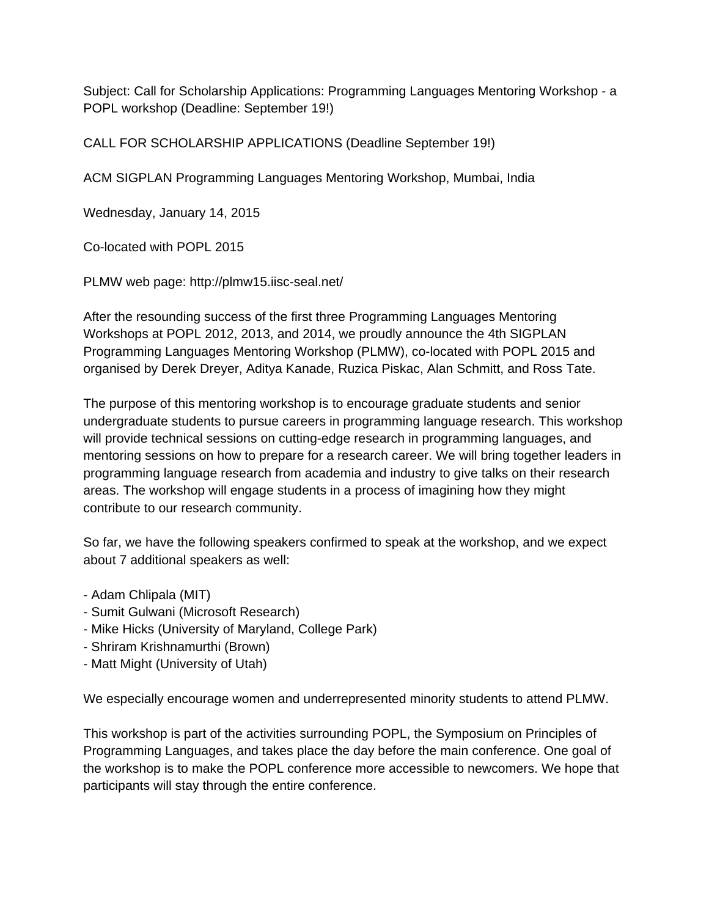Subject: Call for Scholarship Applications: Programming Languages Mentoring Workshop - a POPL workshop (Deadline: September 19!)

CALL FOR SCHOLARSHIP APPLICATIONS (Deadline September 19!)

ACM SIGPLAN Programming Languages Mentoring Workshop, Mumbai, India

Wednesday, January 14, 2015

Co-located with POPL 2015

PLMW web page: http://plmw15.iisc-seal.net/

After the resounding success of the first three Programming Languages Mentoring Workshops at POPL 2012, 2013, and 2014, we proudly announce the 4th SIGPLAN Programming Languages Mentoring Workshop (PLMW), colocated with POPL 2015 and organised by Derek Dreyer, Aditya Kanade, Ruzica Piskac, Alan Schmitt, and Ross Tate.

The purpose of this mentoring workshop is to encourage graduate students and senior undergraduate students to pursue careers in programming language research. This workshop will provide technical sessions on cutting-edge research in programming languages, and mentoring sessions on how to prepare for a research career. We will bring together leaders in programming language research from academia and industry to give talks on their research areas. The workshop will engage students in a process of imagining how they might contribute to our research community.

So far, we have the following speakers confirmed to speak at the workshop, and we expect about 7 additional speakers as well:

- Adam Chlipala (MIT)
- Sumit Gulwani (Microsoft Research)
- Mike Hicks (University of Maryland, College Park)
- Shriram Krishnamurthi (Brown)
- Matt Might (University of Utah)

We especially encourage women and underrepresented minority students to attend PLMW.

This workshop is part of the activities surrounding POPL, the Symposium on Principles of Programming Languages, and takes place the day before the main conference. One goal of the workshop is to make the POPL conference more accessible to newcomers. We hope that participants will stay through the entire conference.